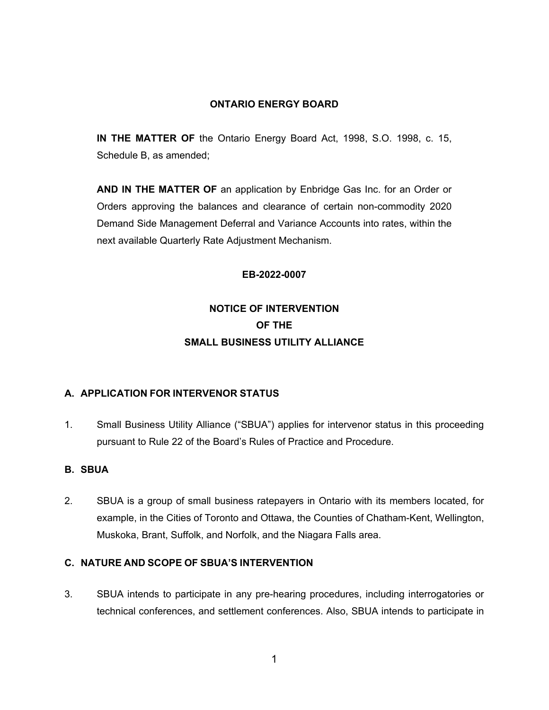### **ONTARIO ENERGY BOARD**

**IN THE MATTER OF** the Ontario Energy Board Act, 1998, S.O. 1998, c. 15, Schedule B, as amended;

**AND IN THE MATTER OF** an application by Enbridge Gas Inc. for an Order or Orders approving the balances and clearance of certain non-commodity 2020 Demand Side Management Deferral and Variance Accounts into rates, within the next available Quarterly Rate Adjustment Mechanism.

#### **EB-2022-0007**

# **NOTICE OF INTERVENTION OF THE SMALL BUSINESS UTILITY ALLIANCE**

#### **A. APPLICATION FOR INTERVENOR STATUS**

1. Small Business Utility Alliance ("SBUA") applies for intervenor status in this proceeding pursuant to Rule 22 of the Board's Rules of Practice and Procedure.

#### **B. SBUA**

2. SBUA is a group of small business ratepayers in Ontario with its members located, for example, in the Cities of Toronto and Ottawa, the Counties of Chatham-Kent, Wellington, Muskoka, Brant, Suffolk, and Norfolk, and the Niagara Falls area.

### **C. NATURE AND SCOPE OF SBUA'S INTERVENTION**

3. SBUA intends to participate in any pre-hearing procedures, including interrogatories or technical conferences, and settlement conferences. Also, SBUA intends to participate in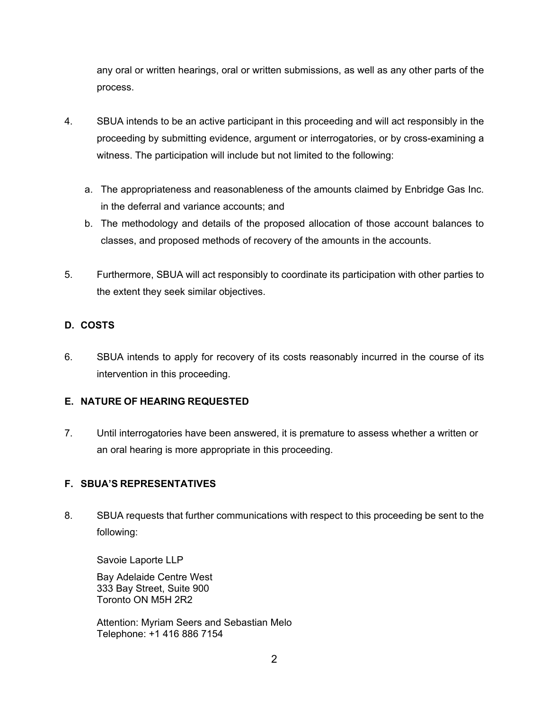any oral or written hearings, oral or written submissions, as well as any other parts of the process.

- 4. SBUA intends to be an active participant in this proceeding and will act responsibly in the proceeding by submitting evidence, argument or interrogatories, or by cross-examining a witness. The participation will include but not limited to the following:
	- a. The appropriateness and reasonableness of the amounts claimed by Enbridge Gas Inc. in the deferral and variance accounts; and
	- b. The methodology and details of the proposed allocation of those account balances to classes, and proposed methods of recovery of the amounts in the accounts.
- 5. Furthermore, SBUA will act responsibly to coordinate its participation with other parties to the extent they seek similar objectives.

## **D. COSTS**

6. SBUA intends to apply for recovery of its costs reasonably incurred in the course of its intervention in this proceeding.

## **E. NATURE OF HEARING REQUESTED**

7. Until interrogatories have been answered, it is premature to assess whether a written or an oral hearing is more appropriate in this proceeding.

## **F. SBUA'S REPRESENTATIVES**

8. SBUA requests that further communications with respect to this proceeding be sent to the following:

Savoie Laporte LLP

Bay Adelaide Centre West 333 Bay Street, Suite 900 Toronto ON M5H 2R2

Attention: Myriam Seers and Sebastian Melo Telephone: +1 416 886 7154